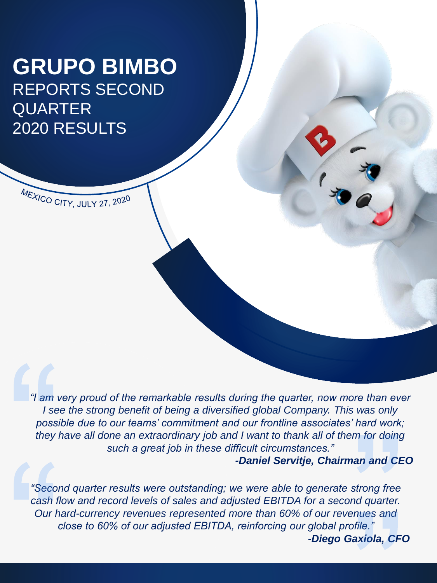# **GRUPO BIMBO** REPORTS SECOND QUARTER 2020 RESULTS

MEXICO CITY, JULY 27, 2020

*"I am very proud of the remarkable results during the quarter, now more than ever I* see the strong benefit of being a diversified global Company. This was only *possible due to our teams' commitment and our frontline associates' hard work; they have all done an extraordinary job and I want to thank all of them for doing such a great job in these difficult circumstances."*

*-Daniel Servitje, Chairman and CEO*

*"Second quarter results were outstanding; we were able to generate strong free cash flow and record levels of sales and adjusted EBITDA for a second quarter. Our hard-currency revenues represented more than 60% of our revenues and close to 60% of our adjusted EBITDA, reinforcing our global profile." -Diego Gaxiola, CFO*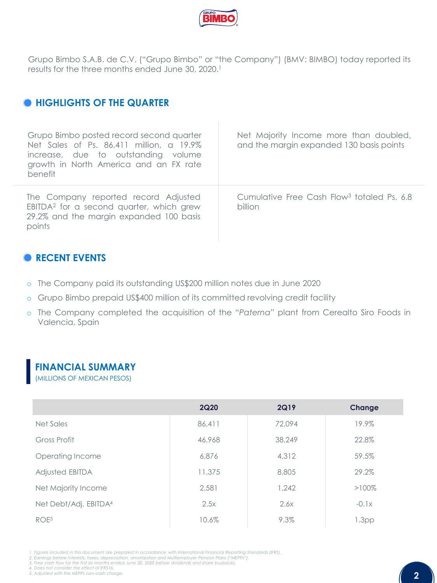

Grupo Bimbo S.A.B. de C.V. ("Grupo Bimbo" or "the Company") (BMV: BIMBO) today reported its results for the three months ended June 30, 2020. 1

### $\bullet$  **HIGHLIGHTS OF THE QUARTER**

| Grupo Bimbo posted record second quarter<br>Net Sales of Ps. 86,411 million, a 19.9%<br>increase, due to outstanding volume<br>growth in North America and an FX rate<br>benefit | Net Majority Income more than doubled,<br>and the margin expanded 130 basis points |
|----------------------------------------------------------------------------------------------------------------------------------------------------------------------------------|------------------------------------------------------------------------------------|
| The Company reported record Adjusted<br>EBITDA <sup>2</sup> for a second quarter, which grew<br>29.2% and the margin expanded 100 basis<br>points                                | Cumulative Free Cash Flow <sup>3</sup> totaled Ps. 6.8<br>billion                  |

### **RECENT EVENTS**

- o The Company paid its outstanding US\$200 million notes due in June 2020
- o Grupo Bimbo prepaid US\$400 million of its committed revolving credit facility
- o The Company completed the acquisition of the "*Paterna*" plant from Cerealto Siro Foods in Valencia, Spain

### **FINANCIAL SUMMARY**

(MILLIONS OF MEXICAN PESOS)

|                                   | <b>2Q20</b> | <b>2Q19</b> | Change            |
|-----------------------------------|-------------|-------------|-------------------|
| Net Sales                         | 86,411      | 72.094      | 19.9%             |
| Gross Profit                      | 46,968      | 38,249      | 22.8%             |
| Operating Income                  | 6,876       | 4,312       | 59.5%             |
| <b>Adjusted EBITDA</b>            | 11,375      | 8,805       | 29.2%             |
| Net Majority Income               | 2.581       | 1.242       | $>100\%$          |
| Net Debt/Adj. EBITDA <sup>4</sup> | 2.5x        | 2.6x        | $-0.1x$           |
| ROE <sup>5</sup>                  | 10.6%       | 9.3%        | 1.3 <sub>pp</sub> |

1. Figures included in this document are prepared in accordance with International Financial Reporting Standards (IFRS).<br>2. Earnings before interests, taxes, depreciation, amortization and Multiemployer Pension Plans ("MEP

3. Free cash flow for the first six months ended June 30, 2020 before dividends and share buybacks.<br>4. Does not consider the effect of IFRS16.

*5. Adjusted with the MEPPs non-cash charge.*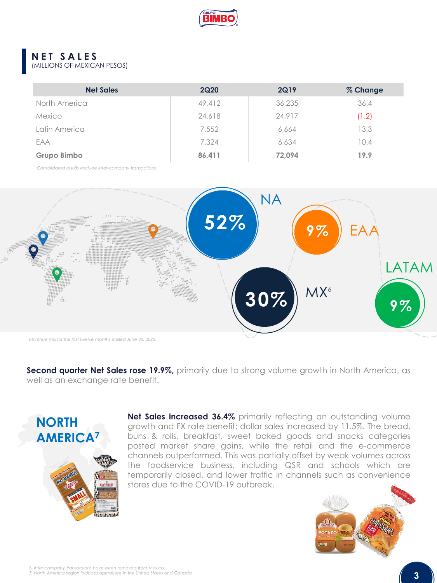

#### **NET SALES** (MILLIONS OF MEXICAN PESOS)

| <b>Net Sales</b> | <b>2Q20</b> | <b>2Q19</b> | % Change |
|------------------|-------------|-------------|----------|
| North America    | 49,412      | 36,235      | 36.4     |
| Mexico           | 24,618      | 24,917      | (1.2)    |
| Latin America    | 7,552       | 6,664       | 13.3     |
| EAA              | 7,324       | 6,634       | 10.4     |
| Grupo Bimbo      | 86,411      | 72.094      | 19.9     |

*Consolidated results exclude inter-company transactions.*



**Second quarter Net Sales rose 19.9%,** primarily due to strong volume growth in North America, as well as an exchange rate benefit.



**Net Sales increased 36.4%** primarily reflecting an outstanding volume growth and FX rate benefit; dollar sales increased by 11.5%. The bread, buns & rolls, breakfast, sweet baked goods and snacks categories posted market share gains, while the retail and the e-commerce channels outperformed. This was partially offset by weak volumes across the foodservice business, including QSR and schools which are temporarily closed, and lower traffic in channels such as convenience stores due to the COVID-19 outbreak.

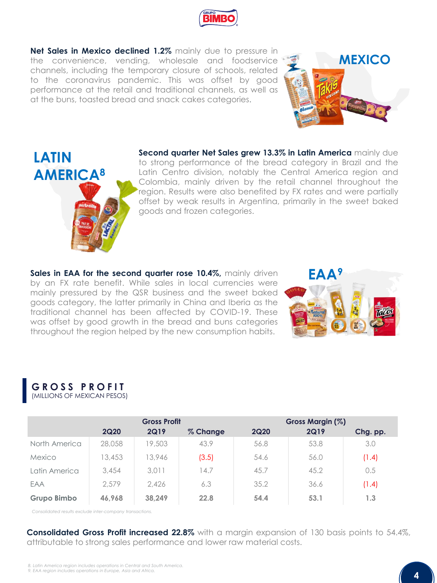

**Net Sales in Mexico declined 1.2%** mainly due to pressure in the convenience, vending, wholesale and foodservice channels, including the temporary closure of schools, related to the coronavirus pandemic. This was offset by good performance at the retail and traditional channels, as well as at the buns, toasted bread and snack cakes categories.





**Second quarter Net Sales grew 13.3% in Latin America** mainly due to strong performance of the bread category in Brazil and the Latin Centro division, notably the Central America region and Colombia, mainly driven by the retail channel throughout the region. Results were also benefited by FX rates and were partially offset by weak results in Argentina, primarily in the sweet baked goods and frozen categories.

**Sales in EAA for the second quarter rose 10.4%,** mainly driven by an FX rate benefit. While sales in local currencies were mainly pressured by the QSR business and the sweet baked goods category, the latter primarily in China and Iberia as the traditional channel has been affected by COVID-19. These was offset by good growth in the bread and buns categories throughout the region helped by the new consumption habits.



| GROSS PROFIT                |  |
|-----------------------------|--|
| (MILLIONS OF MEXICAN PESOS) |  |

|                    |             | <b>Gross Profit</b> |          |             | Gross Margin (%) |          |
|--------------------|-------------|---------------------|----------|-------------|------------------|----------|
|                    | <b>2Q20</b> | <b>2Q19</b>         | % Change | <b>2Q20</b> | <b>2Q19</b>      | Chg. pp. |
| North America      | 28,058      | 19,503              | 43.9     | 56.8        | 53.8             | 3.0      |
| Mexico             | 13,453      | 13,946              | (3.5)    | 54.6        | 56.0             | (1.4)    |
| Latin America      | 3,454       | 3,011               | 14.7     | 45.7        | 45.2             | 0.5      |
| EAA                | 2.579       | 2.426               | 6.3      | 35.2        | 36.6             | (1.4)    |
| <b>Grupo Bimbo</b> | 46.968      | 38.249              | 22.8     | 54.4        | 53.1             | 1.3      |

*Consolidated results exclude inter-company transactions.*

**Consolidated Gross Profit increased 22.8%** with a margin expansion of 130 basis points to 54.4%, attributable to strong sales performance and lower raw material costs.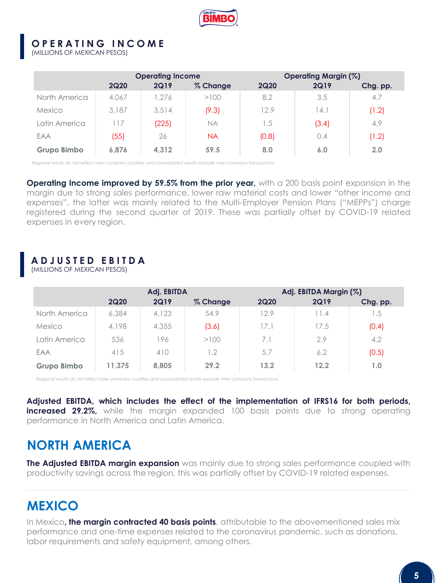

### **O P E R A T I N G I N C O M E**

(MILLIONS OF MEXICAN PESOS)

|               |             | <b>Operating Income</b> |          |             | Operating Margin (%) |          |
|---------------|-------------|-------------------------|----------|-------------|----------------------|----------|
|               | <b>2Q20</b> | <b>2Q19</b>             | % Change | <b>2Q20</b> | <b>2Q19</b>          | Chg. pp. |
| North America | 4.067       | 1.276                   | >100     | 8.2         | 3.5                  | 4.7      |
| Mexico        | 3,187       | 3.514                   | (9.3)    | 12.9        | 14.1                 | (1.2)    |
| Latin America | 17          | (225)                   | NA       | 1.5         | (3.4)                | 4.9      |
| EAA           | (55)        | 26                      | NA       | (0.8)       | 0.4                  | (1.2)    |
| Grupo Bimbo   | 6.876       | 4,312                   | 59.5     | 8.0         | 6.0                  | 2.0      |

*Regional results do not reflect inter-company royalties and consolidated results exclude inter-company transactions.*

**Operating Income improved by 59.5% from the prior year,** with a 200 basis point expansion in the margin due to strong sales performance, lower raw material costs and lower "other income and expenses", the latter was mainly related to the Multi-Employer Pension Plans ("MEPPs") charge registered during the second quarter of 2019. These was partially offset by COVID-19 related expenses in every region.

## **ADJUSTED EBITDA**

(MILLIONS OF MEXICAN PESOS)

|               | Adj. EBITDA |             | Adj. EBITDA Margin (%) |             |             |          |
|---------------|-------------|-------------|------------------------|-------------|-------------|----------|
|               | <b>2Q20</b> | <b>2Q19</b> | % Change               | <b>2Q20</b> | <b>2Q19</b> | Chg. pp. |
| North America | 6,384       | 4.123       | 54.9                   | 12.9        | 11.4        | 1.5      |
| Mexico        | 4,198       | 4,355       | (3.6)                  | 17.1        | 17.5        | (0.4)    |
| Latin America | 536         | 196         | >100                   | 7.1         | 2.9         | 4.2      |
| EAA           | 415         | 410         | 1.2                    | 5.7         | 6.2         | (0.5)    |
| Grupo Bimbo   | 11.375      | 8,805       | 29.2                   | 13.2        | 12.2        | 1.0      |

*Regional results do not reflect inter-company royalties and consolidated results exclude inter-company transactions.*

**Adjusted EBITDA, which includes the effect of the implementation of IFRS16 for both periods, increased 29.2%,** while the margin expanded 100 basis points due to strong operating performance in North America and Latin America.

## **NORTH AMERICA**

**The Adjusted EBITDA margin expansion** was mainly due to strong sales performance coupled with productivity savings across the region, this was partially offset by COVID-19 related expenses.

## **MEXICO**

In Mexico**, the margin contracted 40 basis points**, attributable to the abovementioned sales mix performance and one-time expenses related to the coronavirus pandemic, such as donations, labor requirements and safety equipment, among others.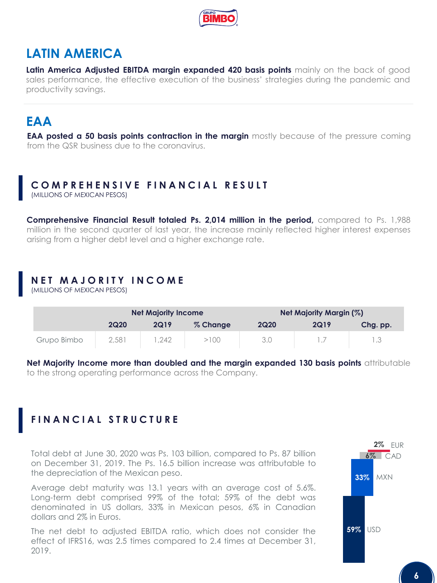

## **LATIN AMERICA**

**Latin America Adjusted EBITDA margin expanded 420 basis points** mainly on the back of good sales performance, the effective execution of the business' strategies during the pandemic and productivity savings.

## **EAA**

**EAA posted a 50 basis points contraction in the margin** mostly because of the pressure coming from the QSR business due to the coronavirus.

## **COMPREHENSIVE FINANCIAL RESULT**

(MILLIONS OF MEXICAN PESOS)

**Comprehensive Financial Result totaled Ps. 2,014 million in the period,** compared to Ps. 1,988 million in the second quarter of last year, the increase mainly reflected higher interest expenses arising from a higher debt level and a higher exchange rate.

## **NET MAJORITY INCOME**

(MILLIONS OF MEXICAN PESOS)

|             | <b>Net Majority Income</b> |             | Net Majority Margin (%) |             |             |          |
|-------------|----------------------------|-------------|-------------------------|-------------|-------------|----------|
|             | <b>2Q20</b>                | <b>2Q19</b> | % Change                | <b>2Q20</b> | <b>2Q19</b> | Chg. pp. |
| Grupo Bimbo | 2,581                      | .242        | >100                    | 3.0         |             |          |

**Net Majority Income more than doubled and the margin expanded 130 basis points** attributable to the strong operating performance across the Company.

## **FINANCIAL STRUCTURE**

Total debt at June 30, 2020 was Ps. 103 billion, compared to Ps. 87 billion on December 31, 2019. The Ps. 16.5 billion increase was attributable to the depreciation of the Mexican peso.

Average debt maturity was 13.1 years with an average cost of 5.6%. Long-term debt comprised 99% of the total; 59% of the debt was denominated in US dollars, 33% in Mexican pesos, 6% in Canadian dollars and 2% in Euros.

The net debt to adjusted EBITDA ratio, which does not consider the effect of IFRS16, was 2.5 times compared to 2.4 times at December 31, 2019.

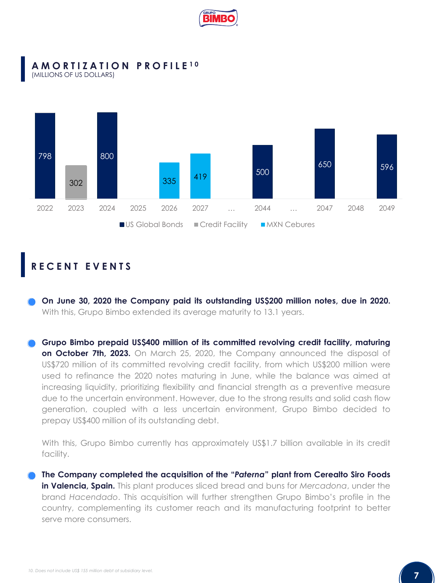

#### **AMORTIZATION PROFILE 1 0** (MILLIONS OF US DOLLARS)



## **RECENT EVENTS**

**On June 30, 2020 the Company paid its outstanding US\$200 million notes, due in 2020.** With this, Grupo Bimbo extended its average maturity to 13.1 years.

**Grupo Bimbo prepaid US\$400 million of its committed revolving credit facility, maturing on October 7th, 2023.** On March 25, 2020, the Company announced the disposal of US\$720 million of its committed revolving credit facility, from which US\$200 million were used to refinance the 2020 notes maturing in June, while the balance was aimed at increasing liquidity, prioritizing flexibility and financial strength as a preventive measure due to the uncertain environment. However, due to the strong results and solid cash flow generation, coupled with a less uncertain environment, Grupo Bimbo decided to prepay US\$400 million of its outstanding debt.

With this, Grupo Bimbo currently has approximately US\$1.7 billion available in its credit facility.

**The Company completed the acquisition of the "***Paterna***" plant from Cerealto Siro Foods in Valencia, Spain.** This plant produces sliced bread and buns for *Mercadona*, under the brand *Hacendado*. This acquisition will further strengthen Grupo Bimbo's profile in the country, complementing its customer reach and its manufacturing footprint to better serve more consumers.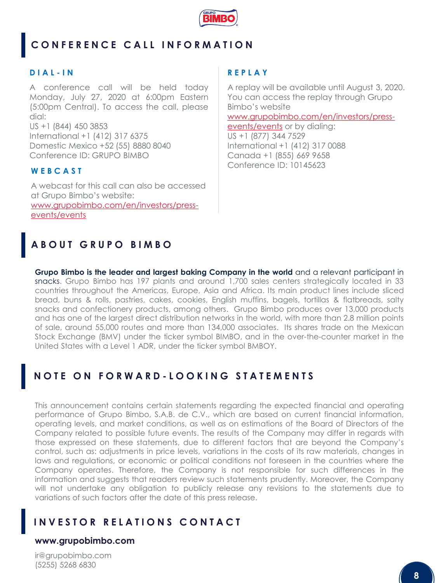

## **CONFERENCE CALL INFORMATION**

#### **D I A L - I N**

A conference call will be held today Monday, July 27, 2020 at 6:00pm Eastern (5:00pm Central). To access the call, please dial: US +1 (844) 450 3853 International +1 (412) 317 6375 Domestic Mexico +52 (55) 8880 8040 Conference ID: GRUPO BIMBO

#### **W E B C A S T**

A webcast for this call can also be accessed at Grupo Bimbo's website: [www.grupobimbo.com/en/investors/press](http://www.grupobimbo.com/en/investors/press-events/events)events/events

#### **R E P L A Y**

A replay will be available until August 3, 2020. You can access the replay through Grupo Bimbo's website [www.grupobimbo.com/en/investors/press](http://www.grupobimbo.com/en/investors/press-events/events)events/events or by dialing: US +1 (877) 344 7529 International +1 (412) 317 0088 Canada +1 (855) 669 9658 Conference ID: 10145623

## **ABOUT GRUPO BIMBO**

**Grupo Bimbo is the leader and largest baking Company in the world** and a relevant participant in snacks. Grupo Bimbo has 197 plants and around 1,700 sales centers strategically located in 33 countries throughout the Americas, Europe, Asia and Africa. Its main product lines include sliced bread, buns & rolls, pastries, cakes, cookies, English muffins, bagels, tortillas & flatbreads, salty snacks and confectionery products, among others. Grupo Bimbo produces over 13,000 products and has one of the largest direct distribution networks in the world, with more than 2.8 million points of sale, around 55,000 routes and more than 134,000 associates. Its shares trade on the Mexican Stock Exchange (BMV) under the ticker symbol BIMBO, and in the over-the-counter market in the United States with a Level 1 ADR, under the ticker symbol BMBOY.

## **NOTE ON FORWARD - LOOKING STATEMENTS**

This announcement contains certain statements regarding the expected financial and operating performance of Grupo Bimbo, S.A.B. de C.V., which are based on current financial information, operating levels, and market conditions, as well as on estimations of the Board of Directors of the Company related to possible future events. The results of the Company may differ in regards with those expressed on these statements, due to different factors that are beyond the Company's control, such as: adjustments in price levels, variations in the costs of its raw materials, changes in laws and regulations, or economic or political conditions not foreseen in the countries where the Company operates. Therefore, the Company is not responsible for such differences in the information and suggests that readers review such statements prudently. Moreover, the Company will not undertake any obligation to publicly release any revisions to the statements due to variations of such factors after the date of this press release.

### **INVESTOR RELATIONS CONTACT**

#### **www.grupobimbo.com**

ir@grupobimbo.com (5255) 5268 6830